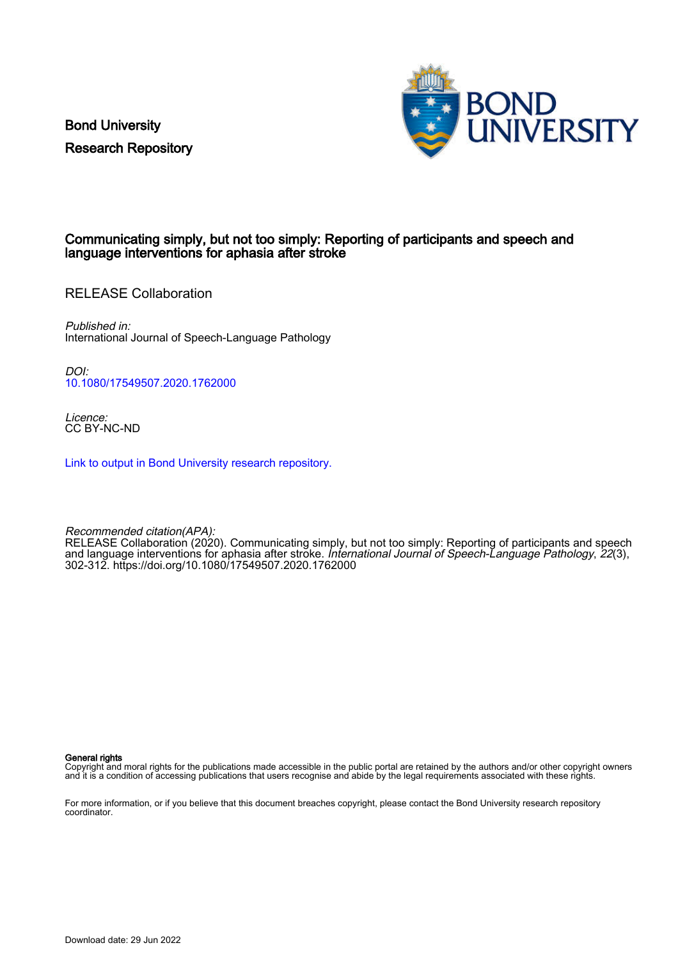Bond University Research Repository



### Communicating simply, but not too simply: Reporting of participants and speech and language interventions for aphasia after stroke

RELEASE Collaboration

Published in: International Journal of Speech-Language Pathology

DOI: [10.1080/17549507.2020.1762000](https://doi.org/10.1080/17549507.2020.1762000)

Licence: CC BY-NC-ND

[Link to output in Bond University research repository.](https://research.bond.edu.au/en/publications/ca82760a-443c-4312-b2dc-fad4e1e979a3)

Recommended citation(APA): RELEASE Collaboration (2020). Communicating simply, but not too simply: Reporting of participants and speech and language interventions for aphasia after stroke. International Journal of Speech-Language Pathology, 22(3), 302-312.<https://doi.org/10.1080/17549507.2020.1762000>

General rights

Copyright and moral rights for the publications made accessible in the public portal are retained by the authors and/or other copyright owners and it is a condition of accessing publications that users recognise and abide by the legal requirements associated with these rights.

For more information, or if you believe that this document breaches copyright, please contact the Bond University research repository coordinator.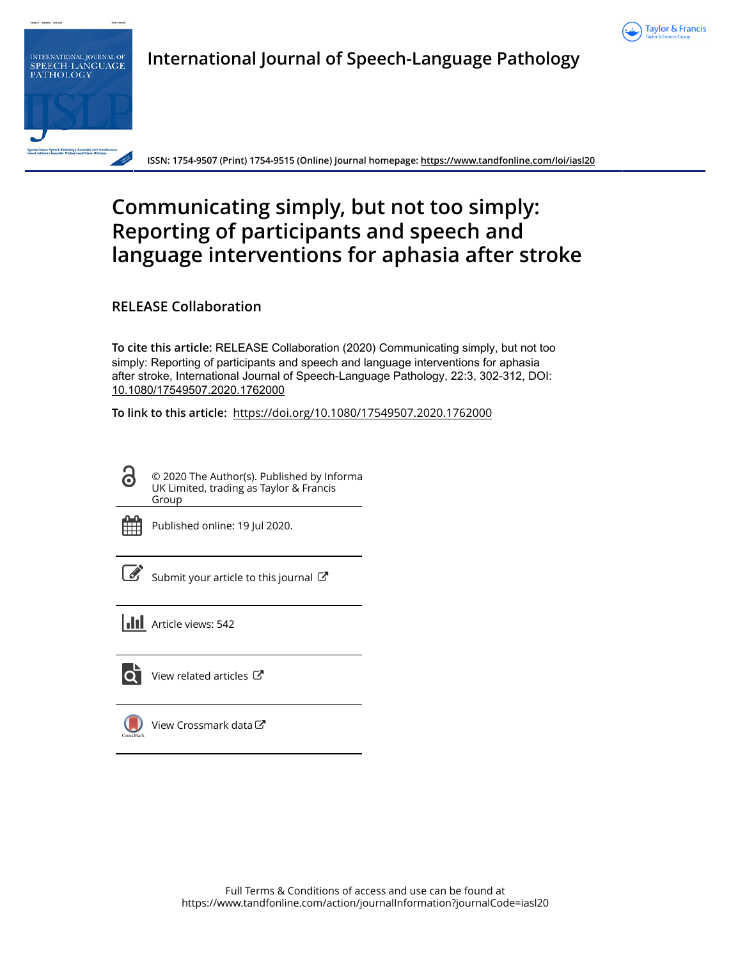



**International Journal of Speech-Language Pathology**

**ISSN: 1754-9507 (Print) 1754-9515 (Online) Journal homepage:<https://www.tandfonline.com/loi/iasl20>**

# **Communicating simply, but not too simply: Reporting of participants and speech and language interventions for aphasia after stroke**

**RELEASE Collaboration**

**To cite this article:** RELEASE Collaboration (2020) Communicating simply, but not too simply: Reporting of participants and speech and language interventions for aphasia after stroke, International Journal of Speech-Language Pathology, 22:3, 302-312, DOI: [10.1080/17549507.2020.1762000](https://www.tandfonline.com/action/showCitFormats?doi=10.1080/17549507.2020.1762000)

**To link to this article:** <https://doi.org/10.1080/17549507.2020.1762000>

G

© 2020 The Author(s). Published by Informa UK Limited, trading as Taylor & Francis Group



Published online: 19 Jul 2020.

[Submit your article to this journal](https://www.tandfonline.com/action/authorSubmission?journalCode=iasl20&show=instructions)  $\mathbb{Z}$ 



lo i

[View related articles](https://www.tandfonline.com/doi/mlt/10.1080/17549507.2020.1762000) C



[View Crossmark data](http://crossmark.crossref.org/dialog/?doi=10.1080/17549507.2020.1762000&domain=pdf&date_stamp=2020-07-19)  $\mathbb{Z}$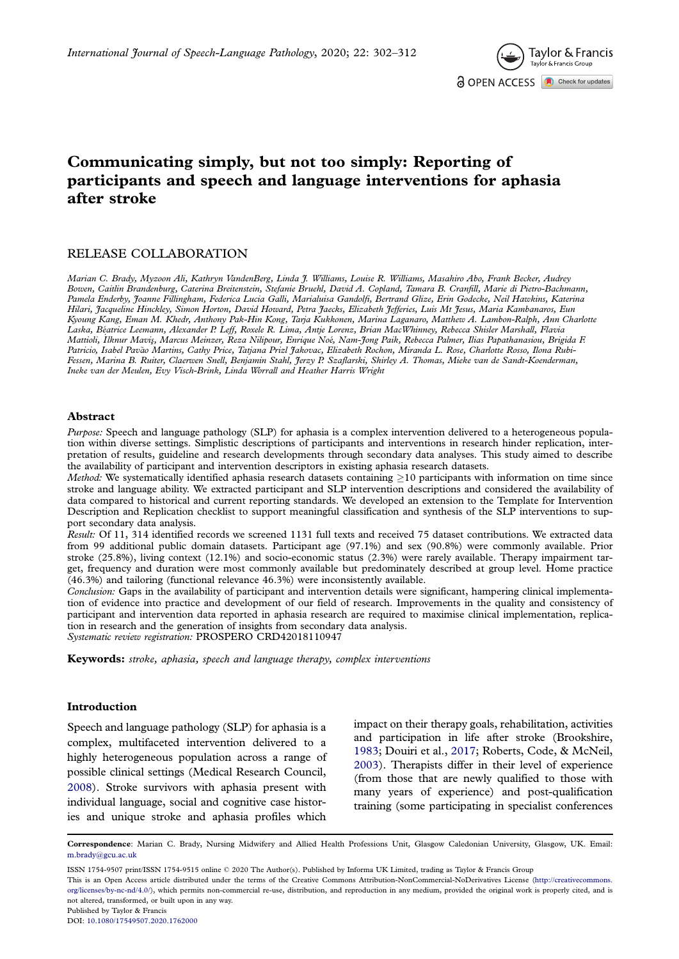

## <span id="page-2-0"></span>Communicating simply, but not too simply: Reporting of participants and speech and language interventions for aphasia after stroke

#### RELEASE COLLABORATION

Marian C. Brady, Myzoon Ali, Kathryn VandenBerg, Linda J. Williams, Louise R. Williams, Masahiro Abo, Frank Becker, Audrey Bowen, Caitlin Brandenburg, Caterina Breitenstein, Stefanie Bruehl, David A. Copland, Tamara B. Cranfill, Marie di Pietro-Bachmann, Pamela Enderby, Joanne Fillingham, Federica Lucia Galli, Marialuisa Gandolfi, Bertrand Glize, Erin Godecke, Neil Hawkins, Katerina Hilari, Jacqueline Hinckley, Simon Horton, David Howard, Petra Jaecks, Elizabeth Jefferies, Luis Mt Jesus, Maria Kambanaros, Eun Kyoung Kang, Eman M. Khedr, Anthony Pak-Hin Kong, Tarja Kukkonen, Marina Laganaro, Matthew A. Lambon-Ralph, Ann Charlotte Laska, Beatrice Leemann, Alexander P. Leff, Roxele R. Lima, Antje Lorenz, Brian MacWhinney, Rebecca Shisler Marshall, Flavia Mattioli, İlknur Maviş, Marcus Meinzer, Reza Nilipour, Enrique Noé, Nam-Jong Paik, Rebecca Palmer, Ilias Papathanasiou, Brigida F. Patricio, Isabel Pavão Martins, Cathy Price, Tatjana Prizl Jakovac, Elizabeth Rochon, Miranda L. Rose, Charlotte Rosso, Ilona Rubi-Fessen, Marina B. Ruiter, Claerwen Snell, Benjamin Stahl, Jerzy P. Szaflarski, Shirley A. Thomas, Mieke van de Sandt-Koenderman, Ineke van der Meulen, Evy Visch-Brink, Linda Worrall and Heather Harris Wright

#### Abstract

Purpose: Speech and language pathology (SLP) for aphasia is a complex intervention delivered to a heterogeneous population within diverse settings. Simplistic descriptions of participants and interventions in research hinder replication, interpretation of results, guideline and research developments through secondary data analyses. This study aimed to describe the availability of participant and intervention descriptors in existing aphasia research datasets.

Method: We systematically identified aphasia research datasets containing  $\geq$ 10 participants with information on time since stroke and language ability. We extracted participant and SLP intervention descriptions and considered the availability of data compared to historical and current reporting standards. We developed an extension to the Template for Intervention Description and Replication checklist to support meaningful classification and synthesis of the SLP interventions to support secondary data analysis.

Result: Of 11, 314 identified records we screened 1131 full texts and received 75 dataset contributions. We extracted data from 99 additional public domain datasets. Participant age (97.1%) and sex (90.8%) were commonly available. Prior stroke (25.8%), living context (12.1%) and socio-economic status (2.3%) were rarely available. Therapy impairment target, frequency and duration were most commonly available but predominately described at group level. Home practice (46.3%) and tailoring (functional relevance 46.3%) were inconsistently available.

Conclusion: Gaps in the availability of participant and intervention details were significant, hampering clinical implementation of evidence into practice and development of our field of research. Improvements in the quality and consistency of participant and intervention data reported in aphasia research are required to maximise clinical implementation, replication in research and the generation of insights from secondary data analysis. Systematic review registration: PROSPERO CRD42018110947

Keywords: stroke, aphasia, speech and language therapy, complex interventions

#### Introduction

Speech and language pathology (SLP) for aphasia is a complex, multifaceted intervention delivered to a highly heterogeneous population across a range of possible clinical settings (Medical Research Council, [2008\)](#page-12-0). Stroke survivors with aphasia present with individual language, social and cognitive case histories and unique stroke and aphasia profiles which impact on their therapy goals, rehabilitation, activities and participation in life after stroke (Brookshire, [1983;](#page-11-0) Douiri et al., [2017](#page-11-0); Roberts, Code, & McNeil, [2003\)](#page-12-0). Therapists differ in their level of experience (from those that are newly qualified to those with many years of experience) and post-qualification training (some participating in specialist conferences

ISSN 1754-9507 print/ISSN 1754-9515 online 2020 The Author(s). Published by Informa UK Limited, trading as Taylor & Francis Group

This is an Open Access article distributed under the terms of the Creative Commons Attribution-NonCommercial-NoDerivatives License [\(http://creativecommons.](http://creativecommons.org/licenses/by-nc-nd/4.0/) [org/licenses/by-nc-nd/4.0/\)](http://creativecommons.org/licenses/by-nc-nd/4.0/), which permits non-commercial re-use, distribution, and reproduction in any medium, provided the original work is properly cited, and is not altered, transformed, or built upon in any way.

Published by Taylor & Francis

```
DOI: 10.1080/17549507.2020.1762000
```
Correspondence: Marian C. Brady, Nursing Midwifery and Allied Health Professions Unit, Glasgow Caledonian University, Glasgow, UK. Email: m.brady@gcu.ac.uk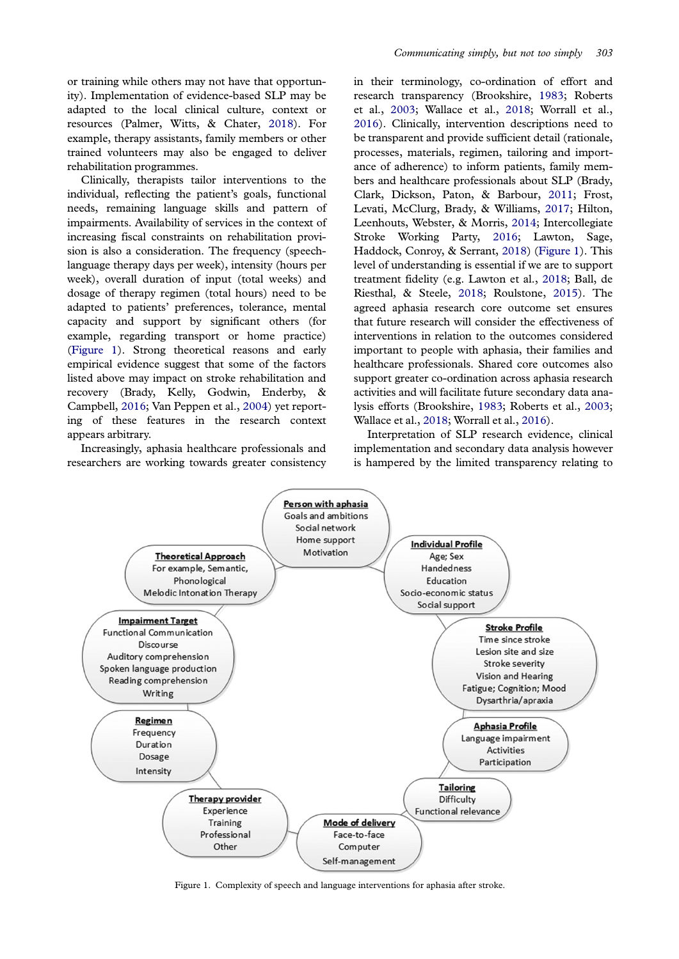<span id="page-3-0"></span>or training while others may not have that opportunity). Implementation of evidence-based SLP may be adapted to the local clinical culture, context or resources (Palmer, Witts, & Chater, [2018](#page-12-0)). For example, therapy assistants, family members or other trained volunteers may also be engaged to deliver rehabilitation programmes.

Clinically, therapists tailor interventions to the individual, reflecting the patient's goals, functional needs, remaining language skills and pattern of impairments. Availability of services in the context of increasing fiscal constraints on rehabilitation provision is also a consideration. The frequency (speechlanguage therapy days per week), intensity (hours per week), overall duration of input (total weeks) and dosage of therapy regimen (total hours) need to be adapted to patients' preferences, tolerance, mental capacity and support by significant others (for example, regarding transport or home practice) (Figure 1). Strong theoretical reasons and early empirical evidence suggest that some of the factors listed above may impact on stroke rehabilitation and recovery (Brady, Kelly, Godwin, Enderby, & Campbell, [2016;](#page-11-0) Van Peppen et al., [2004\)](#page-12-0) yet reporting of these features in the research context appears arbitrary.

Increasingly, aphasia healthcare professionals and researchers are working towards greater consistency in their terminology, co-ordination of effort and research transparency (Brookshire, [1983](#page-11-0); Roberts et al., [2003](#page-12-0); Wallace et al., [2018](#page-12-0); Worrall et al., [2016\)](#page-12-0). Clinically, intervention descriptions need to be transparent and provide sufficient detail (rationale, processes, materials, regimen, tailoring and importance of adherence) to inform patients, family members and healthcare professionals about SLP (Brady, Clark, Dickson, Paton, & Barbour, [2011;](#page-11-0) Frost, Levati, McClurg, Brady, & Williams, [2017;](#page-11-0) Hilton, Leenhouts, Webster, & Morris, [2014](#page-12-0); Intercollegiate Stroke Working Party, [2016;](#page-12-0) Lawton, Sage, Haddock, Conroy, & Serrant, [2018\)](#page-12-0) (Figure 1). This level of understanding is essential if we are to support treatment fidelity (e.g. Lawton et al., [2018](#page-12-0); Ball, de Riesthal, & Steele, [2018;](#page-11-0) Roulstone, [2015\)](#page-12-0). The agreed aphasia research core outcome set ensures that future research will consider the effectiveness of interventions in relation to the outcomes considered important to people with aphasia, their families and healthcare professionals. Shared core outcomes also support greater co-ordination across aphasia research activities and will facilitate future secondary data analysis efforts (Brookshire, [1983;](#page-11-0) Roberts et al., [2003;](#page-12-0) Wallace et al., [2018;](#page-12-0) Worrall et al., [2016](#page-12-0)).

Interpretation of SLP research evidence, clinical implementation and secondary data analysis however is hampered by the limited transparency relating to



Figure 1. Complexity of speech and language interventions for aphasia after stroke.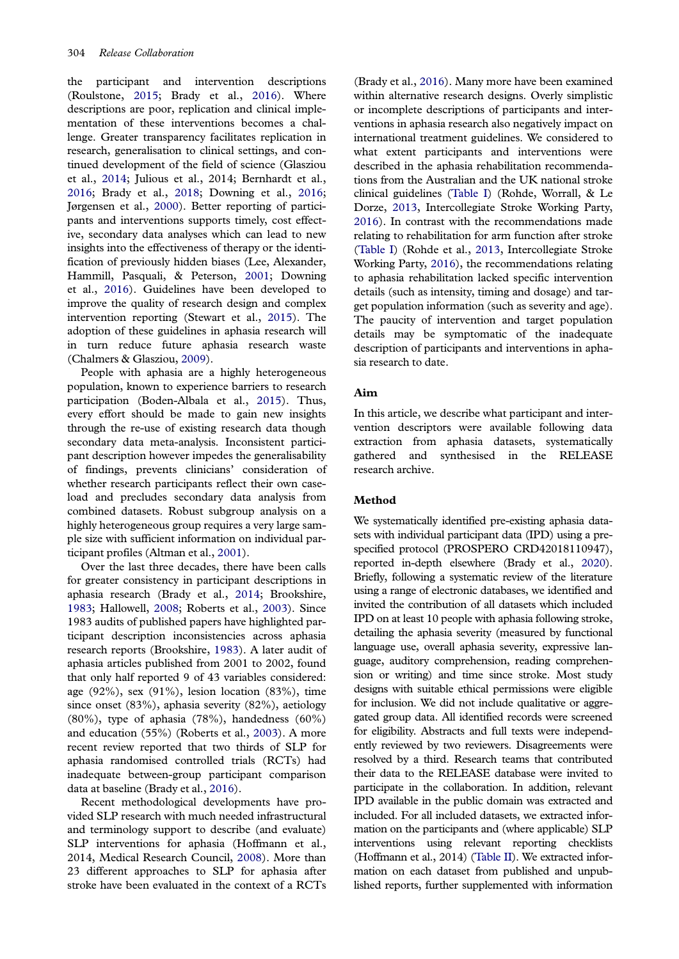<span id="page-4-0"></span>the participant and intervention descriptions (Roulstone, [2015;](#page-12-0) Brady et al., [2016\)](#page-11-0). Where descriptions are poor, replication and clinical implementation of these interventions becomes a challenge. Greater transparency facilitates replication in research, generalisation to clinical settings, and continued development of the field of science (Glasziou et al., [2014](#page-11-0); Julious et al., 2014; Bernhardt et al., [2016;](#page-11-0) Brady et al., [2018;](#page-11-0) Downing et al., [2016](#page-11-0); Jørgensen et al., [2000\)](#page-12-0). Better reporting of participants and interventions supports timely, cost effective, secondary data analyses which can lead to new insights into the effectiveness of therapy or the identification of previously hidden biases (Lee, Alexander, Hammill, Pasquali, & Peterson, [2001](#page-12-0); Downing et al., [2016](#page-11-0)). Guidelines have been developed to improve the quality of research design and complex intervention reporting (Stewart et al., [2015](#page-12-0)). The adoption of these guidelines in aphasia research will in turn reduce future aphasia research waste (Chalmers & Glasziou, [2009\)](#page-11-0).

People with aphasia are a highly heterogeneous population, known to experience barriers to research participation (Boden-Albala et al., [2015\)](#page-11-0). Thus, every effort should be made to gain new insights through the re-use of existing research data though secondary data meta-analysis. Inconsistent participant description however impedes the generalisability of findings, prevents clinicians' consideration of whether research participants reflect their own caseload and precludes secondary data analysis from combined datasets. Robust subgroup analysis on a highly heterogeneous group requires a very large sample size with sufficient information on individual participant profiles (Altman et al., [2001](#page-11-0)).

Over the last three decades, there have been calls for greater consistency in participant descriptions in aphasia research (Brady et al., [2014;](#page-11-0) Brookshire, [1983;](#page-11-0) Hallowell, [2008;](#page-12-0) Roberts et al., [2003](#page-12-0)). Since 1983 audits of published papers have highlighted participant description inconsistencies across aphasia research reports (Brookshire, [1983](#page-11-0)). A later audit of aphasia articles published from 2001 to 2002, found that only half reported 9 of 43 variables considered: age (92%), sex (91%), lesion location (83%), time since onset (83%), aphasia severity (82%), aetiology  $(80\%)$ , type of aphasia  $(78\%)$ , handedness  $(60\%)$ and education (55%) (Roberts et al., [2003\)](#page-12-0). A more recent review reported that two thirds of SLP for aphasia randomised controlled trials (RCTs) had inadequate between-group participant comparison data at baseline (Brady et al., [2016](#page-11-0)).

Recent methodological developments have provided SLP research with much needed infrastructural and terminology support to describe (and evaluate) SLP interventions for aphasia (Hoffmann et al., 2014, Medical Research Council, [2008\)](#page-12-0). More than 23 different approaches to SLP for aphasia after stroke have been evaluated in the context of a RCTs

(Brady et al., [2016\)](#page-11-0). Many more have been examined within alternative research designs. Overly simplistic or incomplete descriptions of participants and interventions in aphasia research also negatively impact on international treatment guidelines. We considered to what extent participants and interventions were described in the aphasia rehabilitation recommendations from the Australian and the UK national stroke clinical guidelines ([Table I\)](#page-5-0) (Rohde, Worrall, & Le Dorze, [2013,](#page-12-0) Intercollegiate Stroke Working Party, [2016\)](#page-12-0). In contrast with the recommendations made relating to rehabilitation for arm function after stroke [\(Table I](#page-5-0)) (Rohde et al., [2013,](#page-12-0) Intercollegiate Stroke Working Party, [2016](#page-12-0)), the recommendations relating to aphasia rehabilitation lacked specific intervention details (such as intensity, timing and dosage) and target population information (such as severity and age). The paucity of intervention and target population details may be symptomatic of the inadequate description of participants and interventions in aphasia research to date.

#### Aim

In this article, we describe what participant and intervention descriptors were available following data extraction from aphasia datasets, systematically gathered and synthesised in the RELEASE research archive.

#### Method

We systematically identified pre-existing aphasia datasets with individual participant data (IPD) using a prespecified protocol (PROSPERO CRD42018110947), reported in-depth elsewhere (Brady et al., [2020\)](#page-11-0). Briefly, following a systematic review of the literature using a range of electronic databases, we identified and invited the contribution of all datasets which included IPD on at least 10 people with aphasia following stroke, detailing the aphasia severity (measured by functional language use, overall aphasia severity, expressive language, auditory comprehension, reading comprehension or writing) and time since stroke. Most study designs with suitable ethical permissions were eligible for inclusion. We did not include qualitative or aggregated group data. All identified records were screened for eligibility. Abstracts and full texts were independently reviewed by two reviewers. Disagreements were resolved by a third. Research teams that contributed their data to the RELEASE database were invited to participate in the collaboration. In addition, relevant IPD available in the public domain was extracted and included. For all included datasets, we extracted information on the participants and (where applicable) SLP interventions using relevant reporting checklists (Hoffmann et al., 2014) [\(Table II\)](#page-5-0). We extracted information on each dataset from published and unpublished reports, further supplemented with information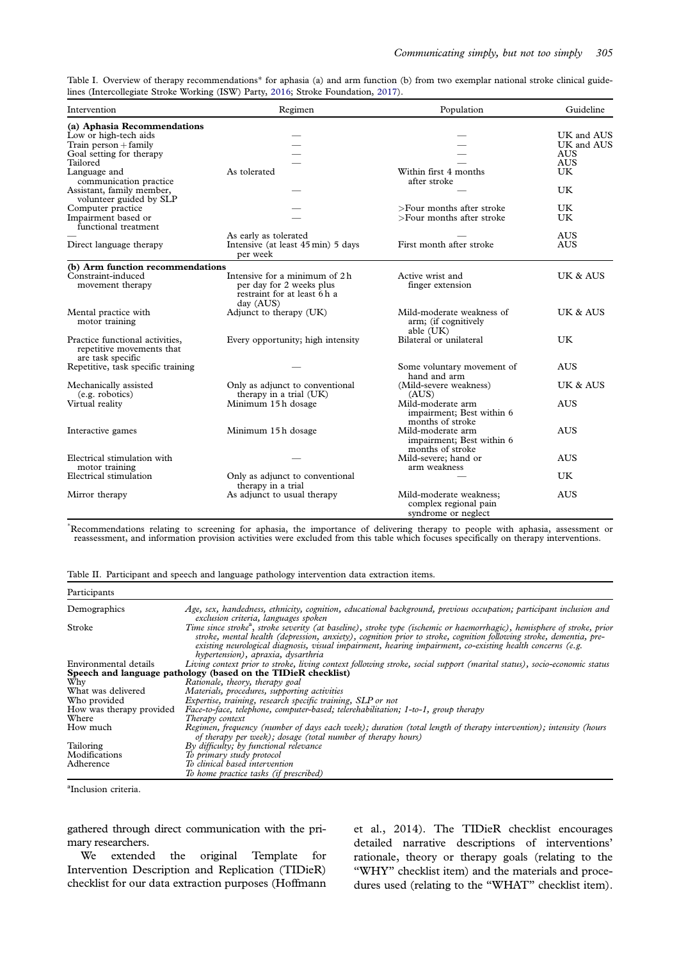<span id="page-5-0"></span>Table I. Overview of therapy recommendations\* for aphasia (a) and arm function (b) from two exemplar national stroke clinical guidelines (Intercollegiate Stroke Working (ISW) Party, [2016;](#page-12-0) Stroke Foundation, [2017](#page-12-0)).

| Intervention                                | Regimen                                        | Population                 | Guideline  |  |
|---------------------------------------------|------------------------------------------------|----------------------------|------------|--|
| (a) Aphasia Recommendations                 |                                                |                            |            |  |
| Low or high-tech aids                       |                                                |                            | UK and AUS |  |
| Train person $+$ family                     |                                                |                            | UK and AUS |  |
| Goal setting for therapy                    |                                                |                            | <b>AUS</b> |  |
| Tailored                                    |                                                |                            | <b>AUS</b> |  |
| Language and                                | As tolerated                                   | Within first 4 months      | UK         |  |
| communication practice                      |                                                | after stroke               |            |  |
| Assistant, family member,                   |                                                |                            | UK         |  |
| volunteer guided by SLP                     |                                                |                            |            |  |
|                                             |                                                | >Four months after stroke  | <b>UK</b>  |  |
| Computer practice                           |                                                |                            |            |  |
| Impairment based or<br>functional treatment |                                                | >Four months after stroke  | <b>UK</b>  |  |
|                                             | As early as tolerated                          |                            | <b>AUS</b> |  |
| Direct language therapy                     | Intensive (at least 45 min) 5 days<br>per week | First month after stroke   | <b>AUS</b> |  |
| (b) Arm function recommendations            |                                                |                            |            |  |
| Constraint-induced                          | Intensive for a minimum of 2h.                 | Active wrist and           | UK & AUS   |  |
| movement therapy                            | per day for 2 weeks plus                       | finger extension           |            |  |
|                                             | restraint for at least 6h a                    |                            |            |  |
|                                             | day (AUS)                                      |                            |            |  |
| Mental practice with                        | Adjunct to therapy (UK)                        | Mild-moderate weakness of  | UK & AUS   |  |
| motor training                              |                                                | arm; (if cognitively       |            |  |
|                                             |                                                | able (UK)                  |            |  |
| Practice functional activities,             | Every opportunity; high intensity              | Bilateral or unilateral    | UK         |  |
| repetitive movements that                   |                                                |                            |            |  |
|                                             |                                                |                            |            |  |
| are task specific                           |                                                |                            |            |  |
| Repetitive, task specific training          |                                                | Some voluntary movement of | <b>AUS</b> |  |
|                                             |                                                | hand and arm               |            |  |
| Mechanically assisted                       | Only as adjunct to conventional                | (Mild-severe weakness)     | UK & AUS   |  |
| (e.g. robotics)                             | therapy in a trial (UK)                        | (AUS)                      |            |  |
| Virtual reality                             | Minimum 15h dosage                             | Mild-moderate arm          | <b>AUS</b> |  |
|                                             |                                                | impairment; Best within 6  |            |  |
|                                             |                                                | months of stroke           |            |  |
| Interactive games                           | Minimum 15h dosage                             | Mild-moderate arm          | <b>AUS</b> |  |
|                                             |                                                | impairment; Best within 6  |            |  |
|                                             |                                                | months of stroke           |            |  |
| Electrical stimulation with                 |                                                | Mild-severe; hand or       | <b>AUS</b> |  |
| motor training                              |                                                | arm weakness               |            |  |
| Electrical stimulation                      | Only as adjunct to conventional                |                            | UK         |  |
|                                             | therapy in a trial                             |                            |            |  |
| Mirror therapy                              | As adjunct to usual therapy                    | Mild-moderate weakness;    | <b>AUS</b> |  |
|                                             |                                                | complex regional pain      |            |  |
|                                             |                                                | syndrome or neglect        |            |  |
|                                             |                                                |                            |            |  |

 Recommendations relating to screening for aphasia, the importance of delivering therapy to people with aphasia, assessment or reassessment, and information provision activities were excluded from this table which focuses specifically on therapy interventions.

|  | Table II. Participant and speech and language pathology intervention data extraction items. |  |  |  |
|--|---------------------------------------------------------------------------------------------|--|--|--|
|  |                                                                                             |  |  |  |

| Participants             |                                                                                                                                                                                                                                                                                                                                                                                                              |
|--------------------------|--------------------------------------------------------------------------------------------------------------------------------------------------------------------------------------------------------------------------------------------------------------------------------------------------------------------------------------------------------------------------------------------------------------|
| Demographics             | Age, sex, handedness, ethnicity, cognition, educational background, previous occupation; participant inclusion and<br>exclusion criteria, languages spoken                                                                                                                                                                                                                                                   |
| Stroke                   | Time since stroke <sup>a</sup> , stroke severity (at baseline), stroke type (ischemic or haemorrhagic), hemisphere of stroke, prior<br>stroke, mental health (depression, anxiety), cognition prior to stroke, cognition following stroke, dementia, pre-<br>existing neurological diagnosis, visual impairment, hearing impairment, co-existing health concerns (e.g.<br>hypertension), apraxia, dysarthria |
| Environmental details    | Living context prior to stroke, living context following stroke, social support (marital status), socio-economic status                                                                                                                                                                                                                                                                                      |
|                          | Speech and language pathology (based on the TIDieR checklist)                                                                                                                                                                                                                                                                                                                                                |
| Why                      | Rationale, theory, therapy goal                                                                                                                                                                                                                                                                                                                                                                              |
| What was delivered       | Materials, procedures, supporting activities                                                                                                                                                                                                                                                                                                                                                                 |
| Who provided             | Expertise, training, research specific training, SLP or not                                                                                                                                                                                                                                                                                                                                                  |
| How was therapy provided | Face-to-face, telephone, computer-based; telerehabilitation; 1-to-1, group therapy                                                                                                                                                                                                                                                                                                                           |
| Where                    | Therapy context                                                                                                                                                                                                                                                                                                                                                                                              |
| How much                 | Regimen, frequency (number of days each week); duration (total length of therapy intervention); intensity (hours<br>of therapy per week); dosage (total number of therapy hours)                                                                                                                                                                                                                             |
| Tailoring                | By difficulty; by functional relevance                                                                                                                                                                                                                                                                                                                                                                       |
| Modifications            | To primary study protocol                                                                                                                                                                                                                                                                                                                                                                                    |
| Adherence                | To clinical based intervention                                                                                                                                                                                                                                                                                                                                                                               |
|                          | To home practice tasks (if prescribed)                                                                                                                                                                                                                                                                                                                                                                       |

a Inclusion criteria.

gathered through direct communication with the primary researchers.

We extended the original Template for Intervention Description and Replication (TIDieR) checklist for our data extraction purposes (Hoffmann

et al., 2014). The TIDieR checklist encourages detailed narrative descriptions of interventions' rationale, theory or therapy goals (relating to the "WHY" checklist item) and the materials and procedures used (relating to the "WHAT" checklist item).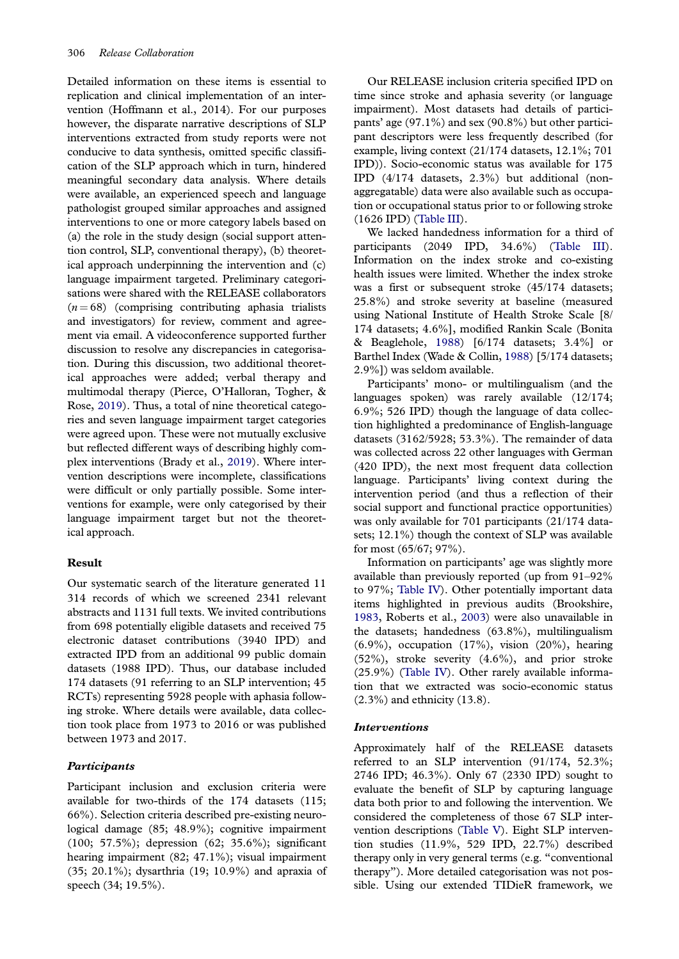<span id="page-6-0"></span>Detailed information on these items is essential to replication and clinical implementation of an intervention (Hoffmann et al., 2014). For our purposes however, the disparate narrative descriptions of SLP interventions extracted from study reports were not conducive to data synthesis, omitted specific classification of the SLP approach which in turn, hindered meaningful secondary data analysis. Where details were available, an experienced speech and language pathologist grouped similar approaches and assigned interventions to one or more category labels based on (a) the role in the study design (social support attention control, SLP, conventional therapy), (b) theoretical approach underpinning the intervention and (c) language impairment targeted. Preliminary categorisations were shared with the RELEASE collaborators  $(n = 68)$  (comprising contributing aphasia trialists and investigators) for review, comment and agreement via email. A videoconference supported further discussion to resolve any discrepancies in categorisation. During this discussion, two additional theoretical approaches were added; verbal therapy and multimodal therapy (Pierce, O'Halloran, Togher, & Rose, [2019](#page-12-0)). Thus, a total of nine theoretical categories and seven language impairment target categories were agreed upon. These were not mutually exclusive but reflected different ways of describing highly complex interventions (Brady et al., [2019\)](#page-11-0). Where intervention descriptions were incomplete, classifications were difficult or only partially possible. Some interventions for example, were only categorised by their language impairment target but not the theoretical approach.

#### Result

Our systematic search of the literature generated 11 314 records of which we screened 2341 relevant abstracts and 1131 full texts. We invited contributions from 698 potentially eligible datasets and received 75 electronic dataset contributions (3940 IPD) and extracted IPD from an additional 99 public domain datasets (1988 IPD). Thus, our database included 174 datasets (91 referring to an SLP intervention; 45 RCTs) representing 5928 people with aphasia following stroke. Where details were available, data collection took place from 1973 to 2016 or was published between 1973 and 2017.

#### **Participants**

Participant inclusion and exclusion criteria were available for two-thirds of the 174 datasets (115; 66%). Selection criteria described pre-existing neurological damage (85; 48.9%); cognitive impairment (100; 57.5%); depression (62; 35.6%); significant hearing impairment (82; 47.1%); visual impairment (35; 20.1%); dysarthria (19; 10.9%) and apraxia of speech (34; 19.5%).

Our RELEASE inclusion criteria specified IPD on time since stroke and aphasia severity (or language impairment). Most datasets had details of participants' age (97.1%) and sex (90.8%) but other participant descriptors were less frequently described (for example, living context (21/174 datasets, 12.1%; 701 IPD)). Socio-economic status was available for 175 IPD (4/174 datasets, 2.3%) but additional (nonaggregatable) data were also available such as occupation or occupational status prior to or following stroke (1626 IPD) [\(Table III](#page-7-0)).

We lacked handedness information for a third of participants (2049 IPD, 34.6%) [\(Table III\)](#page-7-0). Information on the index stroke and co-existing health issues were limited. Whether the index stroke was a first or subsequent stroke (45/174 datasets; 25.8%) and stroke severity at baseline (measured using National Institute of Health Stroke Scale [8/ 174 datasets; 4.6%], modified Rankin Scale (Bonita & Beaglehole, [1988\)](#page-11-0) [6/174 datasets; 3.4%] or Barthel Index (Wade & Collin, [1988](#page-12-0)) [5/174 datasets; 2.9%]) was seldom available.

Participants' mono- or multilingualism (and the languages spoken) was rarely available (12/174; 6.9%; 526 IPD) though the language of data collection highlighted a predominance of English-language datasets (3162/5928; 53.3%). The remainder of data was collected across 22 other languages with German (420 IPD), the next most frequent data collection language. Participants' living context during the intervention period (and thus a reflection of their social support and functional practice opportunities) was only available for 701 participants (21/174 datasets; 12.1%) though the context of SLP was available for most (65/67; 97%).

Information on participants' age was slightly more available than previously reported (up from 91–92% to 97%; [Table IV](#page-8-0)). Other potentially important data items highlighted in previous audits (Brookshire, [1983,](#page-11-0) Roberts et al., [2003\)](#page-12-0) were also unavailable in the datasets; handedness (63.8%), multilingualism (6.9%), occupation (17%), vision (20%), hearing (52%), stroke severity (4.6%), and prior stroke (25.9%) ([Table IV](#page-8-0)). Other rarely available information that we extracted was socio-economic status (2.3%) and ethnicity (13.8).

#### Interventions

Approximately half of the RELEASE datasets referred to an SLP intervention (91/174, 52.3%; 2746 IPD; 46.3%). Only 67 (2330 IPD) sought to evaluate the benefit of SLP by capturing language data both prior to and following the intervention. We considered the completeness of those 67 SLP intervention descriptions ([Table V](#page-9-0)). Eight SLP intervention studies (11.9%, 529 IPD, 22.7%) described therapy only in very general terms (e.g. "conventional therapy"). More detailed categorisation was not possible. Using our extended TIDieR framework, we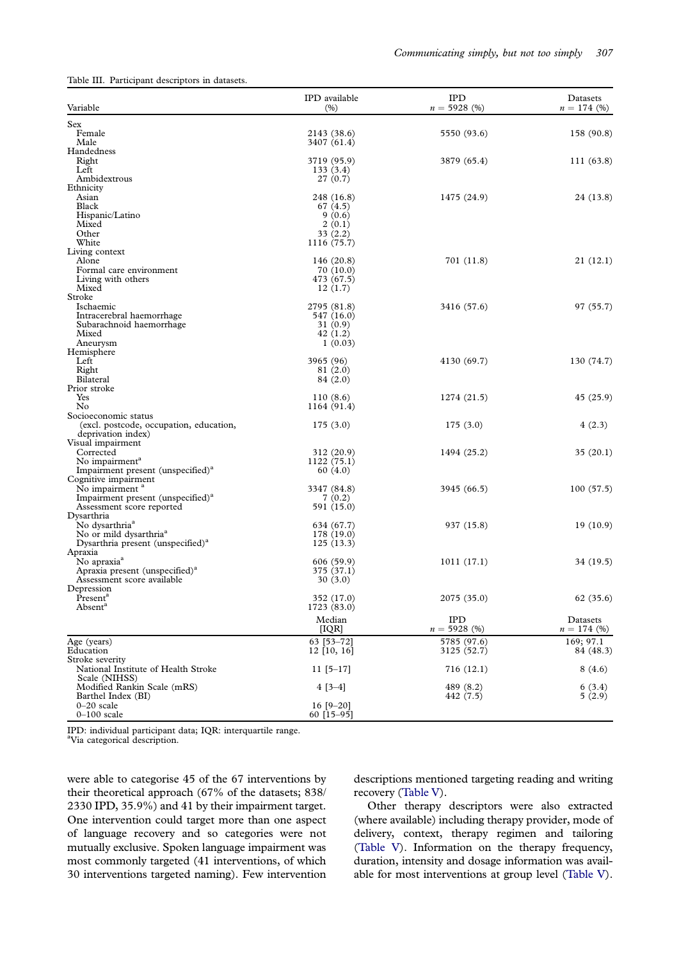<span id="page-7-0"></span>Table III. Participant descriptors in datasets.

| Variable                                           | IPD available<br>(% )    | <b>IPD</b><br>$n = 5928$ (%) | Datasets<br>$n = 174$ (%) |
|----------------------------------------------------|--------------------------|------------------------------|---------------------------|
| Sex                                                |                          |                              |                           |
| Female                                             | 2143 (38.6)              | 5550 (93.6)                  | 158 (90.8)                |
| Male                                               | 3407 (61.4)              |                              |                           |
| Handedness                                         |                          |                              |                           |
| Right<br>Left                                      | 3719 (95.9)<br>133(3.4)  | 3879 (65.4)                  | 111 (63.8)                |
| Ambidextrous                                       | 27(0.7)                  |                              |                           |
| Ethnicity                                          |                          |                              |                           |
| Asian                                              | 248 (16.8)               | 1475 (24.9)                  | 24 (13.8)                 |
| Black                                              | 67 (4.5)                 |                              |                           |
| Hispanic/Latino                                    | 9(0.6)                   |                              |                           |
| Mixed                                              | 2(0.1)                   |                              |                           |
| Other<br>White                                     | 33(2.2)                  |                              |                           |
| Living context                                     | 1116 (75.7)              |                              |                           |
| Alone                                              | 146 (20.8)               | 701 (11.8)                   | 21 (12.1)                 |
| Formal care environment                            | 70 (10.0)                |                              |                           |
| Living with others                                 | 473 (67.5)               |                              |                           |
| Mixed                                              | 12(1.7)                  |                              |                           |
| Stroke                                             |                          |                              |                           |
| Ischaemic                                          | 2795 (81.8)              | 3416 (57.6)                  | 97 (55.7)                 |
| Intracerebral haemorrhage                          | 547 (16.0)               |                              |                           |
| Subarachnoid haemorrhage<br>Mixed                  | 31(0.9)<br>42 (1.2)      |                              |                           |
| Aneurysm                                           | 1(0.03)                  |                              |                           |
| Hemisphere                                         |                          |                              |                           |
| Left                                               | 3965 (96)                | 4130 (69.7)                  | 130 (74.7)                |
| Right                                              | 81 (2.0)                 |                              |                           |
| Bilateral                                          | 84 (2.0)                 |                              |                           |
| Prior stroke                                       |                          |                              |                           |
| Yes<br>No                                          | 110(8.6)                 | 1274 (21.5)                  | 45 (25.9)                 |
| Socioeconomic status                               | 1164 (91.4)              |                              |                           |
| (excl. postcode, occupation, education,            | 175(3.0)                 | 175(3.0)                     | 4(2.3)                    |
| deprivation index)                                 |                          |                              |                           |
| Visual impairment                                  |                          |                              |                           |
| Corrected                                          | 312 (20.9)               | 1494 (25.2)                  | 35(20.1)                  |
| No impairment <sup>a</sup>                         | 1122(75.1)               |                              |                           |
| Impairment present (unspecified) <sup>a</sup>      | 60 (4.0)                 |                              |                           |
| Cognitive impairment<br>No impairment <sup>a</sup> | 3347 (84.8)              | 3945 (66.5)                  | 100(57.5)                 |
| Impairment present (unspecified) <sup>a</sup>      | 7(0.2)                   |                              |                           |
| Assessment score reported                          | 591 (15.0)               |                              |                           |
| Dysarthria                                         |                          |                              |                           |
| No dysarthria <sup>a</sup>                         | 634 (67.7)               | 937 (15.8)                   | 19(10.9)                  |
| No or mild dysarthria <sup>a</sup>                 | 178 (19.0)               |                              |                           |
| Dysarthria present (unspecified) <sup>a</sup>      | 125(13.3)                |                              |                           |
| Apraxia<br>No apraxia <sup>a</sup>                 |                          |                              |                           |
| Apraxia present (unspecified) <sup>a</sup>         | 606 (59.9)<br>375 (37.1) | 1011(17.1)                   | 34 (19.5)                 |
| Assessment score available                         | 30(3.0)                  |                              |                           |
| Depression                                         |                          |                              |                           |
| Present <sup>a</sup>                               | 352 (17.0)               | 2075 (35.0)                  | 62 (35.6)                 |
| Absent <sup>a</sup>                                | 1723 (83.0)              |                              |                           |
|                                                    | Median                   | <b>IPD</b>                   | Datasets                  |
|                                                    | [IQR]                    | $n = 5928$ (%)               | $n = 174$ (%)             |
| Age (years)                                        | 63 [53-72]               | 5785 (97.6)                  | 169; 97.1                 |
| Education                                          | $12$ [10, 16]            | 3125 (52.7)                  | 84 (48.3)                 |
| Stroke severity                                    |                          |                              |                           |
| National Institute of Health Stroke                | $11 [5 - 17]$            | 716 (12.1)                   | 8(4.6)                    |
| Scale (NIHSS)                                      |                          |                              |                           |
| Modified Rankin Scale (mRS)<br>Barthel Index (BI)  | $4[3-4]$                 | 489 (8.2)<br>442 (7.5)       | 6(3.4)<br>5(2.9)          |
| $0-20$ scale                                       | 16 $[9-20]$              |                              |                           |
| $0-100$ scale                                      | $60$ [15-95]             |                              |                           |
|                                                    |                          |                              |                           |

IPD: individual participant data; IQR: interquartile range. a Via categorical description.

were able to categorise 45 of the 67 interventions by their theoretical approach (67% of the datasets; 838/ 2330 IPD, 35.9%) and 41 by their impairment target. One intervention could target more than one aspect of language recovery and so categories were not mutually exclusive. Spoken language impairment was most commonly targeted (41 interventions, of which 30 interventions targeted naming). Few intervention descriptions mentioned targeting reading and writing recovery [\(Table V](#page-9-0)).

Other therapy descriptors were also extracted (where available) including therapy provider, mode of delivery, context, therapy regimen and tailoring [\(Table V](#page-9-0)). Information on the therapy frequency, duration, intensity and dosage information was available for most interventions at group level ([Table V\)](#page-9-0).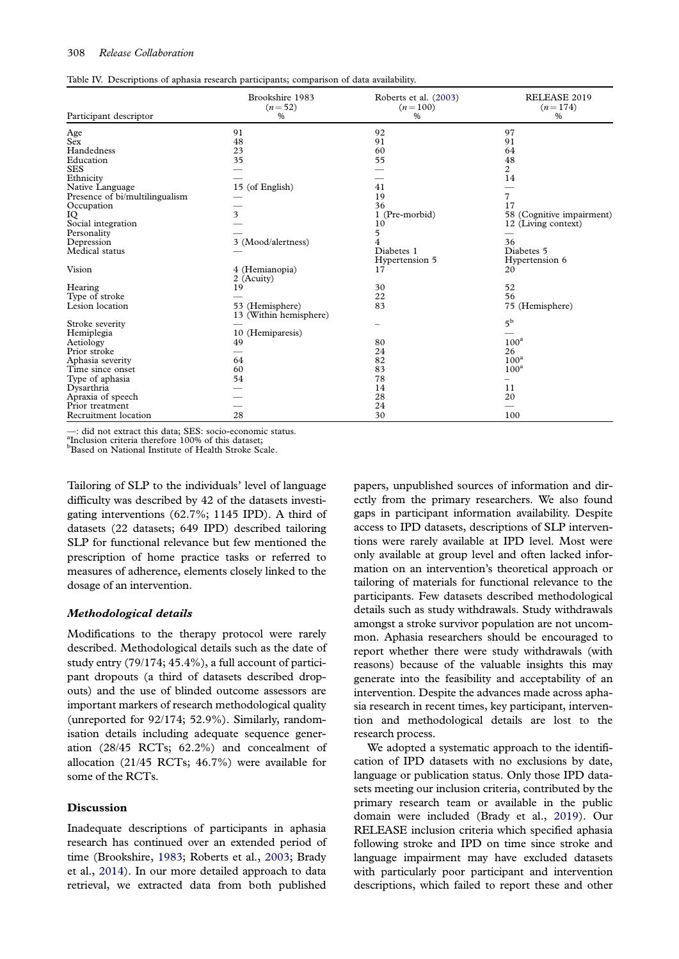#### <span id="page-8-0"></span>308 Release Collaboration

| Participant descriptor         | Brookshire 1983<br>$(n=52)$<br>% | Roberts et al. (2003)<br>$(n=100)$<br>% | RELEASE 2019<br>$(n=174)$<br>% |
|--------------------------------|----------------------------------|-----------------------------------------|--------------------------------|
| Age                            | 91                               | 92                                      | 97                             |
| Sex                            | 48                               | 91                                      | 91                             |
| Handedness                     | 23                               | 60                                      | 64                             |
| Education                      | 35                               | 55                                      | 48                             |
| <b>SES</b>                     |                                  |                                         | 2                              |
| Ethnicity                      |                                  |                                         | 14                             |
| Native Language                | 15 (of English)                  | 41                                      |                                |
| Presence of bi/multilingualism |                                  | 19                                      | 7                              |
| Occupation                     |                                  | 36                                      | 17                             |
| IQ                             | 3                                | 1 (Pre-morbid)                          | 58 (Cognitive impairment)      |
| Social integration             |                                  | 10                                      | 12 (Living context)            |
| Personality                    |                                  | 5                                       |                                |
| Depression                     | 3 (Mood/alertness)               | 4                                       | 36                             |
| Medical status                 |                                  | Diabetes 1                              | Diabetes 5                     |
|                                |                                  | Hypertension 5                          | Hypertension 6                 |
| Vision                         | 4 (Hemianopia)<br>2 (Acuity)     | 17                                      | 20                             |
| Hearing                        | 19                               | 30                                      | 52                             |
| Type of stroke                 |                                  | 22                                      | 56                             |
| Lesion location                | 53 (Hemisphere)                  | 83                                      | 75 (Hemisphere)                |
|                                | 13 (Within hemisphere)           |                                         |                                |
| Stroke severity                |                                  |                                         | 5 <sup>b</sup>                 |
| Hemiplegia                     | 10<br>(Hemiparesis)              |                                         |                                |
| Aetiology                      | 49                               | 80                                      | 100 <sup>a</sup>               |
| Prior stroke                   |                                  | 24                                      | 26                             |
| Aphasia severity               | 64                               | 82                                      | $100^a$                        |
| Time since onset               | 60                               | 83                                      | 100 <sup>a</sup>               |
| Type of aphasia                | 54                               | 78                                      |                                |
| Dysarthria                     |                                  | 14                                      | 11                             |
| Apraxia of speech              |                                  | 28                                      | 20                             |
| Prior treatment                |                                  | 24                                      |                                |
| Recruitment location           | 28                               | 30                                      | 100                            |

—: did not extract this data; SES: socio-economic status.

<sup>a</sup> Inclusion criteria therefore 100% of this dataset;<br><sup>b</sup>Based on National Institute of Haslth Strake Sc

**Based on National Institute of Health Stroke Scale.** 

Tailoring of SLP to the individuals' level of language difficulty was described by 42 of the datasets investigating interventions (62.7%; 1145 IPD). A third of datasets (22 datasets; 649 IPD) described tailoring SLP for functional relevance but few mentioned the prescription of home practice tasks or referred to measures of adherence, elements closely linked to the dosage of an intervention.

#### Methodological details

Modifications to the therapy protocol were rarely described. Methodological details such as the date of study entry (79/174; 45.4%), a full account of participant dropouts (a third of datasets described dropouts) and the use of blinded outcome assessors are important markers of research methodological quality (unreported for 92/174; 52.9%). Similarly, randomisation details including adequate sequence generation (28/45 RCTs; 62.2%) and concealment of allocation (21/45 RCTs; 46.7%) were available for some of the RCTs.

#### Discussion

Inadequate descriptions of participants in aphasia research has continued over an extended period of time (Brookshire, [1983](#page-11-0); Roberts et al., [2003;](#page-12-0) Brady et al., [2014\)](#page-11-0). In our more detailed approach to data retrieval, we extracted data from both published

papers, unpublished sources of information and directly from the primary researchers. We also found gaps in participant information availability. Despite access to IPD datasets, descriptions of SLP interventions were rarely available at IPD level. Most were only available at group level and often lacked information on an intervention's theoretical approach or tailoring of materials for functional relevance to the participants. Few datasets described methodological details such as study withdrawals. Study withdrawals amongst a stroke survivor population are not uncommon. Aphasia researchers should be encouraged to report whether there were study withdrawals (with reasons) because of the valuable insights this may generate into the feasibility and acceptability of an intervention. Despite the advances made across aphasia research in recent times, key participant, intervention and methodological details are lost to the research process.

We adopted a systematic approach to the identification of IPD datasets with no exclusions by date, language or publication status. Only those IPD datasets meeting our inclusion criteria, contributed by the primary research team or available in the public domain were included (Brady et al., [2019](#page-11-0)). Our RELEASE inclusion criteria which specified aphasia following stroke and IPD on time since stroke and language impairment may have excluded datasets with particularly poor participant and intervention descriptions, which failed to report these and other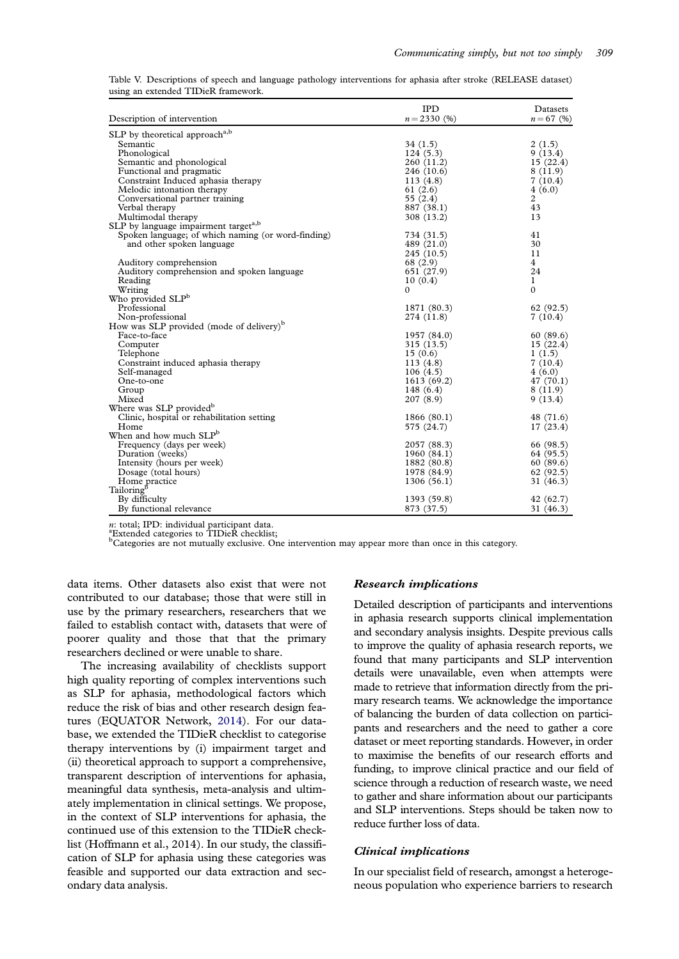<span id="page-9-0"></span>

|                                     |  | Table V. Descriptions of speech and language pathology interventions for aphasia after stroke (RELEASE dataset) |  |  |  |
|-------------------------------------|--|-----------------------------------------------------------------------------------------------------------------|--|--|--|
| using an extended TIDieR framework. |  |                                                                                                                 |  |  |  |

|                                                      | <b>IPD</b>    | Datasets     |
|------------------------------------------------------|---------------|--------------|
| Description of intervention                          | $n = 2330(%)$ | $n = 67$ (%) |
| SLP by theoretical approach <sup>a,b</sup>           |               |              |
| Semantic                                             | 34 (1.5)      | 2(1.5)       |
| Phonological                                         | 124(5.3)      | 9(13.4)      |
| Semantic and phonological                            | 260 (11.2)    | 15(22.4)     |
| Functional and pragmatic                             | 246 (10.6)    | 8(11.9)      |
| Constraint Induced aphasia therapy                   | 113(4.8)      | 7(10.4)      |
| Melodic intonation therapy                           | 61 $(2.6)$    | 4(6.0)       |
| Conversational partner training                      | 55 (2.4)      | 2            |
| Verbal therapy                                       | 887 (38.1)    | 43           |
| Multimodal therapy                                   | 308 (13.2)    | 13           |
| SLP by language impairment target <sup>a,b</sup>     |               |              |
| Spoken language; of which naming (or word-finding)   | 734 (31.5)    | 41           |
| and other spoken language                            | 489 (21.0)    | 30           |
|                                                      | 245(10.5)     | 11           |
| Auditory comprehension                               | 68 (2.9)      | 4            |
| Auditory comprehension and spoken language           | 651 (27.9)    | 24           |
| Reading                                              | 10(0.4)       | 1            |
| Writing                                              | 0             | $\mathbf{0}$ |
| Who provided SLP <sup>b</sup>                        |               |              |
| Professional                                         | 1871 (80.3)   | 62(92.5)     |
| Non-professional                                     | 274 (11.8)    | 7(10.4)      |
| How was SLP provided (mode of delivery) <sup>b</sup> |               |              |
| Face-to-face                                         | 1957 (84.0)   | 60 (89.6)    |
| Computer                                             | 315 (13.5)    | 15(22.4)     |
| Telephone                                            | 15(0.6)       | 1(1.5)       |
| Constraint induced aphasia therapy                   | 113(4.8)      | 7(10.4)      |
| Self-managed                                         | 106(4.5)      | 4(6.0)       |
| One-to-one                                           | 1613 (69.2)   | 47 (70.1)    |
| Group                                                | 148(6.4)      | 8(11.9)      |
| Mixed                                                | 207(8.9)      | 9(13.4)      |
| Where was SLP provided <sup>b</sup>                  |               |              |
| Clinic, hospital or rehabilitation setting           | 1866 (80.1)   | 48 (71.6)    |
| Home                                                 | 575 (24.7)    | 17(23.4)     |
| When and how much SLP <sup>b</sup>                   |               |              |
| Frequency (days per week)                            | 2057 (88.3)   | 66 (98.5)    |
| Duration (weeks)                                     | 1960 (84.1)   | 64 (95.5)    |
| Intensity (hours per week)                           | 1882 (80.8)   | 60(89.6)     |
| Dosage (total hours)                                 | 1978 (84.9)   | 62 (92.5)    |
| Home practice                                        | 1306(56.1)    | 31 (46.3)    |
| Tailoring <sup>b</sup>                               |               |              |
| By difficulty                                        | 1393 (59.8)   | 42 (62.7)    |
| By functional relevance                              | 873 (37.5)    | 31 (46.3)    |

n: total; IPD: individual participant data.

Extended categories to TIDieR checklist;

b Categories are not mutually exclusive. One intervention may appear more than once in this category.

data items. Other datasets also exist that were not contributed to our database; those that were still in use by the primary researchers, researchers that we failed to establish contact with, datasets that were of poorer quality and those that that the primary researchers declined or were unable to share.

The increasing availability of checklists support high quality reporting of complex interventions such as SLP for aphasia, methodological factors which reduce the risk of bias and other research design features (EQUATOR Network, [2014](#page-11-0)). For our database, we extended the TIDieR checklist to categorise therapy interventions by (i) impairment target and (ii) theoretical approach to support a comprehensive, transparent description of interventions for aphasia, meaningful data synthesis, meta-analysis and ultimately implementation in clinical settings. We propose, in the context of SLP interventions for aphasia, the continued use of this extension to the TIDieR checklist (Hoffmann et al., 2014). In our study, the classification of SLP for aphasia using these categories was feasible and supported our data extraction and secondary data analysis.

#### Research implications

Detailed description of participants and interventions in aphasia research supports clinical implementation and secondary analysis insights. Despite previous calls to improve the quality of aphasia research reports, we found that many participants and SLP intervention details were unavailable, even when attempts were made to retrieve that information directly from the primary research teams. We acknowledge the importance of balancing the burden of data collection on participants and researchers and the need to gather a core dataset or meet reporting standards. However, in order to maximise the benefits of our research efforts and funding, to improve clinical practice and our field of science through a reduction of research waste, we need to gather and share information about our participants and SLP interventions. Steps should be taken now to reduce further loss of data.

#### Clinical implications

In our specialist field of research, amongst a heterogeneous population who experience barriers to research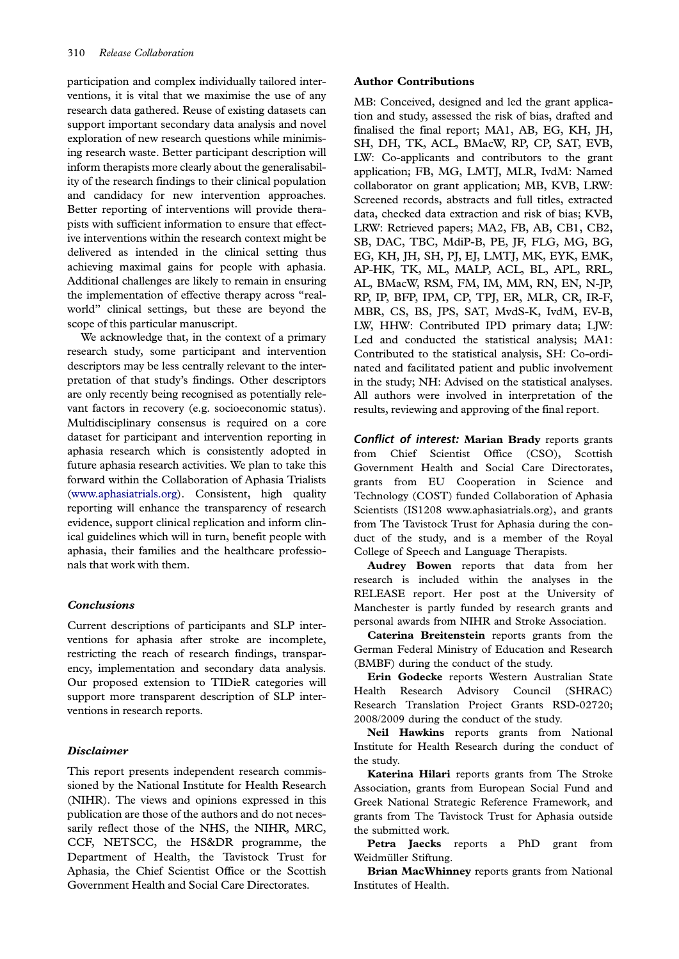participation and complex individually tailored interventions, it is vital that we maximise the use of any research data gathered. Reuse of existing datasets can support important secondary data analysis and novel exploration of new research questions while minimising research waste. Better participant description will inform therapists more clearly about the generalisability of the research findings to their clinical population and candidacy for new intervention approaches. Better reporting of interventions will provide therapists with sufficient information to ensure that effective interventions within the research context might be delivered as intended in the clinical setting thus achieving maximal gains for people with aphasia. Additional challenges are likely to remain in ensuring the implementation of effective therapy across "realworld" clinical settings, but these are beyond the scope of this particular manuscript.

We acknowledge that, in the context of a primary research study, some participant and intervention descriptors may be less centrally relevant to the interpretation of that study's findings. Other descriptors are only recently being recognised as potentially relevant factors in recovery (e.g. socioeconomic status). Multidisciplinary consensus is required on a core dataset for participant and intervention reporting in aphasia research which is consistently adopted in future aphasia research activities. We plan to take this forward within the Collaboration of Aphasia Trialists ([www.aphasiatrials.org](http://www.aphasiatrials.org)). Consistent, high quality reporting will enhance the transparency of research evidence, support clinical replication and inform clinical guidelines which will in turn, benefit people with aphasia, their families and the healthcare professionals that work with them.

#### **Conclusions**

Current descriptions of participants and SLP interventions for aphasia after stroke are incomplete, restricting the reach of research findings, transparency, implementation and secondary data analysis. Our proposed extension to TIDieR categories will support more transparent description of SLP interventions in research reports.

#### Disclaimer

This report presents independent research commissioned by the National Institute for Health Research (NIHR). The views and opinions expressed in this publication are those of the authors and do not necessarily reflect those of the NHS, the NIHR, MRC, CCF, NETSCC, the HS&DR programme, the Department of Health, the Tavistock Trust for Aphasia, the Chief Scientist Office or the Scottish Government Health and Social Care Directorates.

#### Author Contributions

MB: Conceived, designed and led the grant application and study, assessed the risk of bias, drafted and finalised the final report; MA1, AB, EG, KH, JH, SH, DH, TK, ACL, BMacW, RP, CP, SAT, EVB, LW: Co-applicants and contributors to the grant application; FB, MG, LMTJ, MLR, IvdM: Named collaborator on grant application; MB, KVB, LRW: Screened records, abstracts and full titles, extracted data, checked data extraction and risk of bias; KVB, LRW: Retrieved papers; MA2, FB, AB, CB1, CB2, SB, DAC, TBC, MdiP-B, PE, JF, FLG, MG, BG, EG, KH, JH, SH, PJ, EJ, LMTJ, MK, EYK, EMK, AP-HK, TK, ML, MALP, ACL, BL, APL, RRL, AL, BMacW, RSM, FM, IM, MM, RN, EN, N-JP, RP, IP, BFP, IPM, CP, TPJ, ER, MLR, CR, IR-F, MBR, CS, BS, JPS, SAT, MvdS-K, IvdM, EV-B, LW, HHW: Contributed IPD primary data; LJW: Led and conducted the statistical analysis; MA1: Contributed to the statistical analysis, SH: Co-ordinated and facilitated patient and public involvement in the study; NH: Advised on the statistical analyses. All authors were involved in interpretation of the results, reviewing and approving of the final report.

Conflict of interest: Marian Brady reports grants from Chief Scientist Office (CSO), Scottish Government Health and Social Care Directorates, grants from EU Cooperation in Science and Technology (COST) funded Collaboration of Aphasia Scientists (IS1208 www.aphasiatrials.org), and grants from The Tavistock Trust for Aphasia during the conduct of the study, and is a member of the Royal College of Speech and Language Therapists.

Audrey Bowen reports that data from her research is included within the analyses in the RELEASE report. Her post at the University of Manchester is partly funded by research grants and personal awards from NIHR and Stroke Association.

Caterina Breitenstein reports grants from the German Federal Ministry of Education and Research (BMBF) during the conduct of the study.

Erin Godecke reports Western Australian State Health Research Advisory Council (SHRAC) Research Translation Project Grants RSD-02720; 2008/2009 during the conduct of the study.

Neil Hawkins reports grants from National Institute for Health Research during the conduct of the study.

Katerina Hilari reports grants from The Stroke Association, grants from European Social Fund and Greek National Strategic Reference Framework, and grants from The Tavistock Trust for Aphasia outside the submitted work.

Petra Jaecks reports a PhD grant from Weidmüller Stiftung.

Brian MacWhinney reports grants from National Institutes of Health.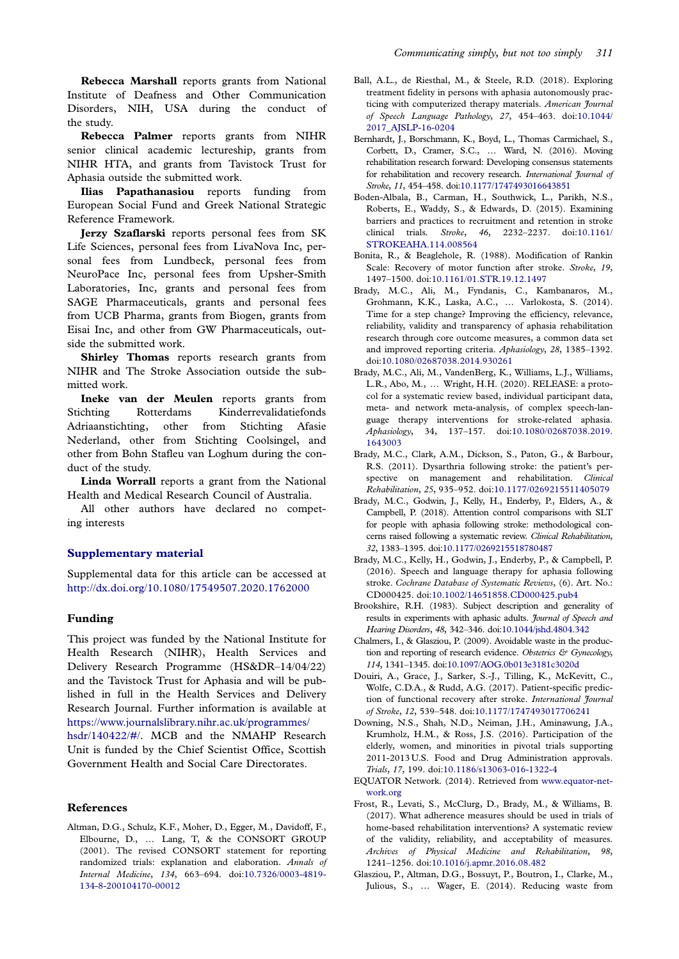<span id="page-11-0"></span>Rebecca Marshall reports grants from National Institute of Deafness and Other Communication Disorders, NIH, USA during the conduct of the study.

Rebecca Palmer reports grants from NIHR senior clinical academic lectureship, grants from NIHR HTA, and grants from Tavistock Trust for Aphasia outside the submitted work.

Ilias Papathanasiou reports funding from European Social Fund and Greek National Strategic Reference Framework.

Jerzy Szaflarski reports personal fees from SK Life Sciences, personal fees from LivaNova Inc, personal fees from Lundbeck, personal fees from NeuroPace Inc, personal fees from Upsher-Smith Laboratories, Inc, grants and personal fees from SAGE Pharmaceuticals, grants and personal fees from UCB Pharma, grants from Biogen, grants from Eisai Inc, and other from GW Pharmaceuticals, outside the submitted work.

Shirley Thomas reports research grants from NIHR and The Stroke Association outside the submitted work.

Ineke van der Meulen reports grants from Stichting Rotterdams Kinderrevalidatiefonds Adriaanstichting, other from Stichting Afasie Nederland, other from Stichting Coolsingel, and other from Bohn Stafleu van Loghum during the conduct of the study.

Linda Worrall reports a grant from the National Health and Medical Research Council of Australia.

All other authors have declared no competing interests

#### [Supplementary material](https://doi.org/10.1080/17549507.2020.1762000)

Supplemental data for this article can be accessed at <http://dx.doi.org/10.1080/17549507.2020.1762000>

#### Funding

This project was funded by the National Institute for Health Research (NIHR), Health Services and Delivery Research Programme (HS&DR–14/04/22) and the Tavistock Trust for Aphasia and will be published in full in the Health Services and Delivery Research Journal. Further information is available at https://www.journalslibrary.nihr.ac.uk/programmes/ hsdr/140422/#/. MCB and the NMAHP Research

Unit is funded by the Chief Scientist Office, Scottish Government Health and Social Care Directorates.

#### References

Altman, D.G., Schulz, K.F., Moher, D., Egger, M., Davidoff, F., Elbourne, D., … Lang, T, & the CONSORT GROUP [\(2001\)](#page-4-0). The revised CONSORT statement for reporting randomized trials: explanation and elaboration. Annals of Internal Medicine, 134, 663–694. doi[:10.7326/0003-4819-](https://doi.org/10.7326/0003-4819-134-8-200104170-00012) [134-8-200104170-00012](https://doi.org/10.7326/0003-4819-134-8-200104170-00012)

- Ball, A.L., de Riesthal, M., & Steele, R.D. [\(2018\)](#page-3-0). Exploring treatment fidelity in persons with aphasia autonomously practicing with computerized therapy materials. American Journal of Speech Language Pathology, 27, 454–463. doi[:10.1044/](https://doi.org/10.1044/2017_AJSLP-16-0204) [2017\\_AJSLP-16-0204](https://doi.org/10.1044/2017_AJSLP-16-0204)
- Bernhardt, J., Borschmann, K., Boyd, L., Thomas Carmichael, S., Corbett, D., Cramer, S.C., … Ward, N. [\(2016](#page-4-0)). Moving rehabilitation research forward: Developing consensus statements for rehabilitation and recovery research. International Journal of Stroke, 11, 454–458. doi[:10.1177/1747493016643851](https://doi.org/10.1177/1747493016643851)
- Boden-Albala, B., Carman, H., Southwick, L., Parikh, N.S., Roberts, E., Waddy, S., & Edwards, D. [\(2015\)](#page-4-0). Examining barriers and practices to recruitment and retention in stroke clinical trials. Stroke, 46, 2232–2237. doi[:10.1161/](https://doi.org/10.1161/STROKEAHA.114.008564) [STROKEAHA.114.008564](https://doi.org/10.1161/STROKEAHA.114.008564)
- Bonita, R., & Beaglehole, R. ([1988](#page-6-0)). Modification of Rankin Scale: Recovery of motor function after stroke. Stroke, 19, 1497–1500. doi:[10.1161/01.STR.19.12.1497](https://doi.org/10.1161/01.STR.19.12.1497)
- Brady, M.C., Ali, M., Fyndanis, C., Kambanaros, M., Grohmann, K.K., Laska, A.C., … Varlokosta, S. [\(2014](#page-4-0)). Time for a step change? Improving the efficiency, relevance, reliability, validity and transparency of aphasia rehabilitation research through core outcome measures, a common data set and improved reporting criteria. Aphasiology, 28, 1385–1392. doi:[10.1080/02687038.2014.930261](https://doi.org/10.1080/02687038.2014.930261)
- Brady, M.C., Ali, M., VandenBerg, K., Williams, L.J., Williams, L.R., Abo, M., … Wright, H.H. ([2020](#page-4-0)). RELEASE: a protocol for a systematic review based, individual participant data, meta- and network meta-analysis, of complex speech-language therapy interventions for stroke-related aphasia. Aphasiology, 34, 137–157. doi[:10.1080/02687038.2019.](https://doi.org/10.1080/02687038.2019.1643003) [1643003](https://doi.org/10.1080/02687038.2019.1643003)
- Brady, M.C., Clark, A.M., Dickson, S., Paton, G., & Barbour, R.S. ([2011](#page-3-0)). Dysarthria following stroke: the patient's perspective on management and rehabilitation. Clinical Rehabilitation, 25, 935–952. doi[:10.1177/0269215511405079](https://doi.org/10.1177/0269215511405079)
- Brady, M.C., Godwin, J., Kelly, H., Enderby, P., Elders, A., & Campbell, P. [\(2018\)](#page-4-0). Attention control comparisons with SLT for people with aphasia following stroke: methodological concerns raised following a systematic review. Clinical Rehabilitation, 32, 1383–1395. doi[:10.1177/0269215518780487](https://doi.org/10.1177/0269215518780487)
- Brady, M.C., Kelly, H., Godwin, J., Enderby, P., & Campbell, P. [\(2016](#page-3-0)). Speech and language therapy for aphasia following stroke. Cochrane Database of Systematic Reviews, (6). Art. No.: CD000425. doi:[10.1002/14651858.CD000425.pub4](https://doi.org/10.1002/14651858.CD000425.pub4)
- Brookshire, R.H. [\(1983](#page-2-0)). Subject description and generality of results in experiments with aphasic adults. Journal of Speech and Hearing Disorders, 48, 342–346. doi[:10.1044/jshd.4804.342](https://doi.org/10.1044/jshd.4804.342)
- Chalmers, I., & Glasziou, P. [\(2009](#page-4-0)). Avoidable waste in the production and reporting of research evidence. Obstetrics & Gynecology, 114, 1341–1345. doi[:10.1097/AOG.0b013e3181c3020d](https://doi.org/10.1097/AOG.0b013e3181c3020d)
- Douiri, A., Grace, J., Sarker, S.-J., Tilling, K., McKevitt, C., Wolfe, C.D.A., & Rudd, A.G. ([2017](#page-2-0)). Patient-specific prediction of functional recovery after stroke. International Journal of Stroke, 12, 539–548. doi[:10.1177/1747493017706241](https://doi.org/10.1177/1747493017706241)
- Downing, N.S., Shah, N.D., Neiman, J.H., Aminawung, J.A., Krumholz, H.M., & Ross, J.S. [\(2016\)](#page-4-0). Participation of the elderly, women, and minorities in pivotal trials supporting 2011-2013 U.S. Food and Drug Administration approvals. Trials, 17, 199. doi:[10.1186/s13063-016-1322-4](https://doi.org/10.1186/s13063-016-1322-4)
- EQUATOR Network. [\(2014](#page-9-0)). Retrieved from [www.equator-net](http://www.equator-network.org)[work.org](http://www.equator-network.org)
- Frost, R., Levati, S., McClurg, D., Brady, M., & Williams, B. [\(2017](#page-3-0)). What adherence measures should be used in trials of home-based rehabilitation interventions? A systematic review of the validity, reliability, and acceptability of measures. Archives of Physical Medicine and Rehabilitation, 98, 1241–1256. doi:[10.1016/j.apmr.2016.08.482](https://doi.org/10.1016/j.apmr.2016.08.482)
- Glasziou, P., Altman, D.G., Bossuyt, P., Boutron, I., Clarke, M., Julious, S., … Wager, E. [\(2014\)](#page-4-0). Reducing waste from